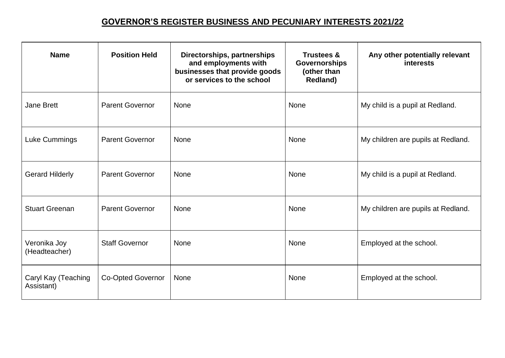## **GOVERNOR'S REGISTER BUSINESS AND PECUNIARY INTERESTS 2021/22**

| <b>Name</b>                       | <b>Position Held</b>     | Directorships, partnerships<br>and employments with<br>businesses that provide goods<br>or services to the school | <b>Trustees &amp;</b><br>Governorships<br>(other than<br><b>Redland)</b> | Any other potentially relevant<br><b>interests</b> |
|-----------------------------------|--------------------------|-------------------------------------------------------------------------------------------------------------------|--------------------------------------------------------------------------|----------------------------------------------------|
| <b>Jane Brett</b>                 | <b>Parent Governor</b>   | <b>None</b>                                                                                                       | <b>None</b>                                                              | My child is a pupil at Redland.                    |
| Luke Cummings                     | <b>Parent Governor</b>   | None                                                                                                              | <b>None</b>                                                              | My children are pupils at Redland.                 |
| <b>Gerard Hilderly</b>            | <b>Parent Governor</b>   | None                                                                                                              | <b>None</b>                                                              | My child is a pupil at Redland.                    |
| <b>Stuart Greenan</b>             | <b>Parent Governor</b>   | None                                                                                                              | None                                                                     | My children are pupils at Redland.                 |
| Veronika Joy<br>(Headteacher)     | <b>Staff Governor</b>    | None                                                                                                              | <b>None</b>                                                              | Employed at the school.                            |
| Caryl Kay (Teaching<br>Assistant) | <b>Co-Opted Governor</b> | None                                                                                                              | <b>None</b>                                                              | Employed at the school.                            |